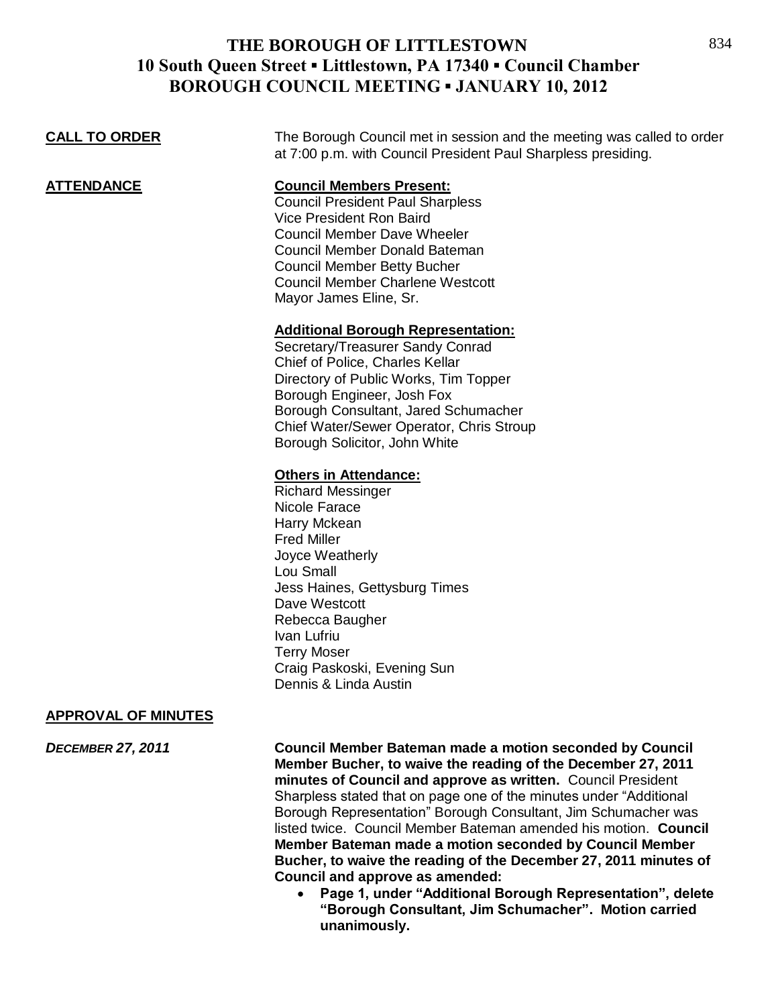| The Borough Council met in session and the meeting was called to order<br>at 7:00 p.m. with Council President Paul Sharpless presiding.                                                                                                                                                                      |
|--------------------------------------------------------------------------------------------------------------------------------------------------------------------------------------------------------------------------------------------------------------------------------------------------------------|
| <b>Council Members Present:</b><br><b>Council President Paul Sharpless</b><br>Vice President Ron Baird<br><b>Council Member Dave Wheeler</b><br>Council Member Donald Bateman<br><b>Council Member Betty Bucher</b><br><b>Council Member Charlene Westcott</b><br>Mayor James Eline, Sr.                     |
| <b>Additional Borough Representation:</b><br>Secretary/Treasurer Sandy Conrad<br>Chief of Police, Charles Kellar<br>Directory of Public Works, Tim Topper<br>Borough Engineer, Josh Fox<br>Borough Consultant, Jared Schumacher<br>Chief Water/Sewer Operator, Chris Stroup<br>Borough Solicitor, John White |
| <b>Others in Attendance:</b><br><b>Richard Messinger</b><br>Nicole Farace<br>Harry Mckean<br><b>Fred Miller</b><br>Joyce Weatherly<br>Lou Small<br>Jess Haines, Gettysburg Times<br>Dave Westcott<br>Rebecca Baugher<br>Ivan Lufriu<br><b>Terry Moser</b><br>Craig Paskoski, Evening Sun                     |
|                                                                                                                                                                                                                                                                                                              |

Dennis & Linda Austin

### **APPROVAL OF MINUTES**

*DECEMBER 27, 2011* **Council Member Bateman made a motion seconded by Council Member Bucher, to waive the reading of the December 27, 2011 minutes of Council and approve as written.** Council President Sharpless stated that on page one of the minutes under "Additional Borough Representation" Borough Consultant, Jim Schumacher was listed twice.Council Member Bateman amended his motion. **Council Member Bateman made a motion seconded by Council Member Bucher, to waive the reading of the December 27, 2011 minutes of Council and approve as amended:** 

 **Page 1, under "Additional Borough Representation", delete "Borough Consultant, Jim Schumacher". Motion carried unanimously.**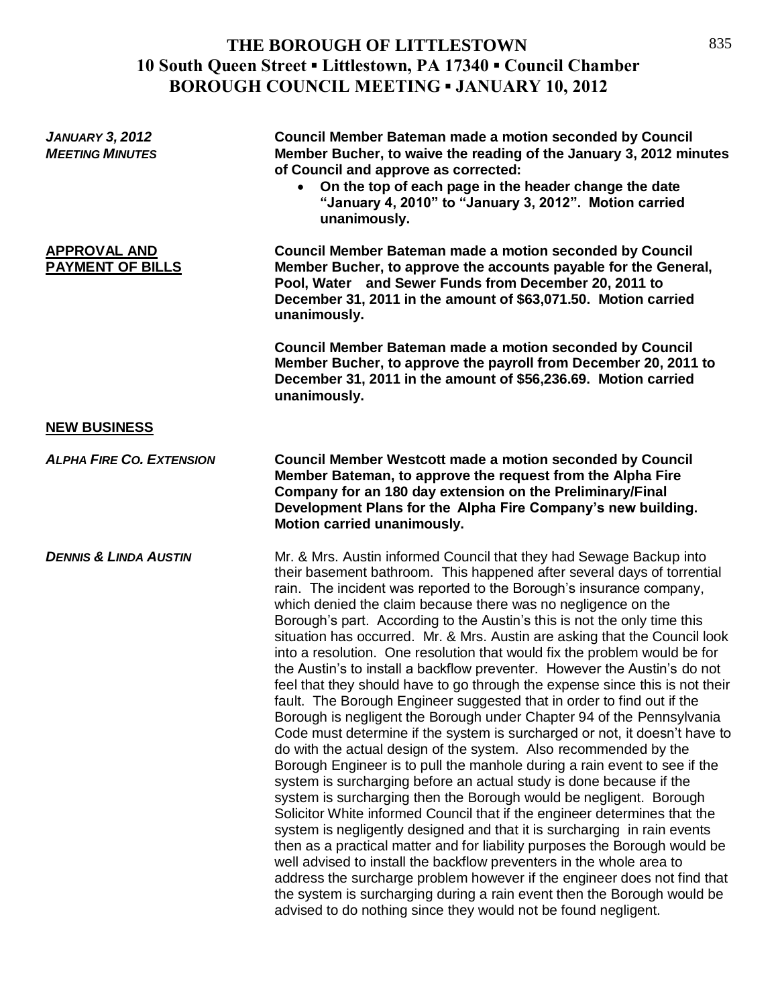| <b>JANUARY 3, 2012</b><br><b>MEETING MINUTES</b> | <b>Council Member Bateman made a motion seconded by Council</b><br>Member Bucher, to waive the reading of the January 3, 2012 minutes<br>of Council and approve as corrected:<br>On the top of each page in the header change the date<br>$\bullet$<br>"January 4, 2010" to "January 3, 2012". Motion carried<br>unanimously.                                                                                                                                                                                                                                                                                                                                                                                                                                                                                                                                                                                                                                                                                                                                                                                                                                                                                                                                                                                                                                                                                                                                                                                                                                                                                                                                                                                                                                     |
|--------------------------------------------------|-------------------------------------------------------------------------------------------------------------------------------------------------------------------------------------------------------------------------------------------------------------------------------------------------------------------------------------------------------------------------------------------------------------------------------------------------------------------------------------------------------------------------------------------------------------------------------------------------------------------------------------------------------------------------------------------------------------------------------------------------------------------------------------------------------------------------------------------------------------------------------------------------------------------------------------------------------------------------------------------------------------------------------------------------------------------------------------------------------------------------------------------------------------------------------------------------------------------------------------------------------------------------------------------------------------------------------------------------------------------------------------------------------------------------------------------------------------------------------------------------------------------------------------------------------------------------------------------------------------------------------------------------------------------------------------------------------------------------------------------------------------------|
| <b>APPROVAL AND</b><br><b>PAYMENT OF BILLS</b>   | <b>Council Member Bateman made a motion seconded by Council</b><br>Member Bucher, to approve the accounts payable for the General,<br>Pool, Water and Sewer Funds from December 20, 2011 to<br>December 31, 2011 in the amount of \$63,071.50. Motion carried<br>unanimously.                                                                                                                                                                                                                                                                                                                                                                                                                                                                                                                                                                                                                                                                                                                                                                                                                                                                                                                                                                                                                                                                                                                                                                                                                                                                                                                                                                                                                                                                                     |
|                                                  | <b>Council Member Bateman made a motion seconded by Council</b><br>Member Bucher, to approve the payroll from December 20, 2011 to<br>December 31, 2011 in the amount of \$56,236.69. Motion carried<br>unanimously.                                                                                                                                                                                                                                                                                                                                                                                                                                                                                                                                                                                                                                                                                                                                                                                                                                                                                                                                                                                                                                                                                                                                                                                                                                                                                                                                                                                                                                                                                                                                              |
| <b>NEW BUSINESS</b>                              |                                                                                                                                                                                                                                                                                                                                                                                                                                                                                                                                                                                                                                                                                                                                                                                                                                                                                                                                                                                                                                                                                                                                                                                                                                                                                                                                                                                                                                                                                                                                                                                                                                                                                                                                                                   |
| <b>ALPHA FIRE CO. EXTENSION</b>                  | <b>Council Member Westcott made a motion seconded by Council</b><br>Member Bateman, to approve the request from the Alpha Fire<br>Company for an 180 day extension on the Preliminary/Final<br>Development Plans for the Alpha Fire Company's new building.<br>Motion carried unanimously.                                                                                                                                                                                                                                                                                                                                                                                                                                                                                                                                                                                                                                                                                                                                                                                                                                                                                                                                                                                                                                                                                                                                                                                                                                                                                                                                                                                                                                                                        |
| <b>DENNIS &amp; LINDA AUSTIN</b>                 | Mr. & Mrs. Austin informed Council that they had Sewage Backup into<br>their basement bathroom. This happened after several days of torrential<br>rain. The incident was reported to the Borough's insurance company,<br>which denied the claim because there was no negligence on the<br>Borough's part. According to the Austin's this is not the only time this<br>situation has occurred. Mr. & Mrs. Austin are asking that the Council look<br>into a resolution. One resolution that would fix the problem would be for<br>the Austin's to install a backflow preventer. However the Austin's do not<br>feel that they should have to go through the expense since this is not their<br>fault. The Borough Engineer suggested that in order to find out if the<br>Borough is negligent the Borough under Chapter 94 of the Pennsylvania<br>Code must determine if the system is surcharged or not, it doesn't have to<br>do with the actual design of the system. Also recommended by the<br>Borough Engineer is to pull the manhole during a rain event to see if the<br>system is surcharging before an actual study is done because if the<br>system is surcharging then the Borough would be negligent. Borough<br>Solicitor White informed Council that if the engineer determines that the<br>system is negligently designed and that it is surcharging in rain events<br>then as a practical matter and for liability purposes the Borough would be<br>well advised to install the backflow preventers in the whole area to<br>address the surcharge problem however if the engineer does not find that<br>the system is surcharging during a rain event then the Borough would be<br>advised to do nothing since they would not be found negligent. |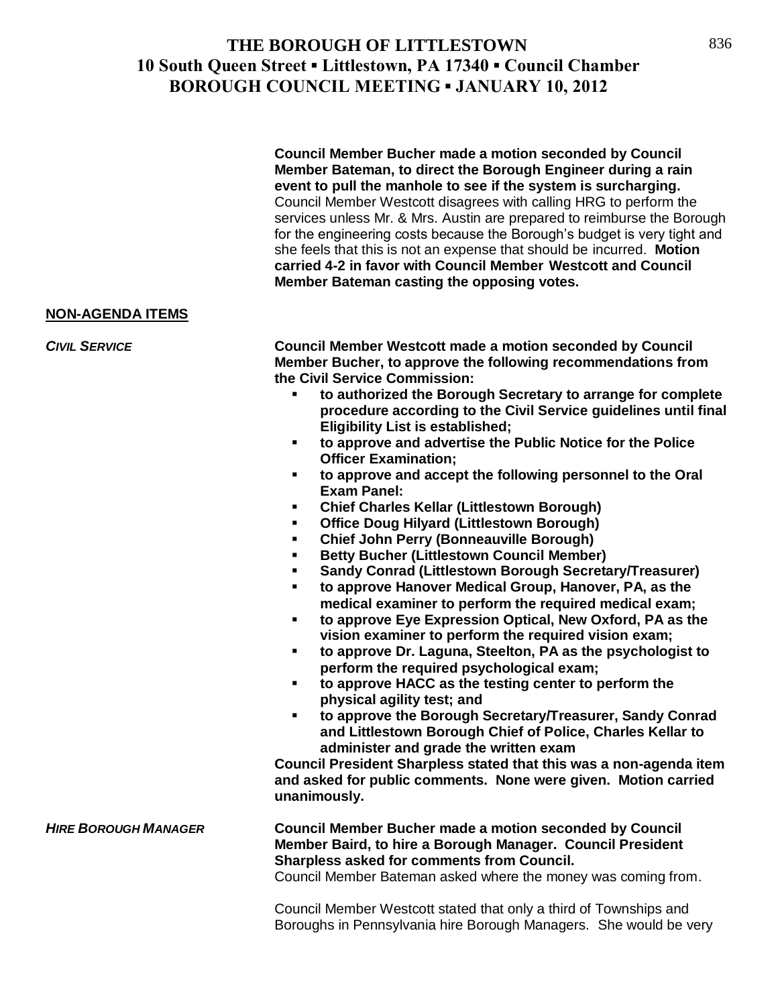**Council Member Bucher made a motion seconded by Council Member Bateman, to direct the Borough Engineer during a rain event to pull the manhole to see if the system is surcharging.**  Council Member Westcott disagrees with calling HRG to perform the services unless Mr. & Mrs. Austin are prepared to reimburse the Borough for the engineering costs because the Borough's budget is very tight and she feels that this is not an expense that should be incurred. **Motion carried 4-2 in favor with Council Member Westcott and Council Member Bateman casting the opposing votes.**

#### **NON-AGENDA ITEMS**

*CIVIL SERVICE* **Council Member Westcott made a motion seconded by Council Member Bucher, to approve the following recommendations from the Civil Service Commission:**

- **to authorized the Borough Secretary to arrange for complete procedure according to the Civil Service guidelines until final Eligibility List is established;**
- **to approve and advertise the Public Notice for the Police Officer Examination;**
- **to approve and accept the following personnel to the Oral Exam Panel:**
- **Chief Charles Kellar (Littlestown Borough)**
- **Office Doug Hilyard (Littlestown Borough)**
- **Chief John Perry (Bonneauville Borough)**
- **Betty Bucher (Littlestown Council Member)**
- **Sandy Conrad (Littlestown Borough Secretary/Treasurer)**
- **to approve Hanover Medical Group, Hanover, PA, as the medical examiner to perform the required medical exam;**
- **to approve Eye Expression Optical, New Oxford, PA as the vision examiner to perform the required vision exam;**
- **to approve Dr. Laguna, Steelton, PA as the psychologist to perform the required psychological exam;**
- **to approve HACC as the testing center to perform the physical agility test; and**
- **to approve the Borough Secretary/Treasurer, Sandy Conrad and Littlestown Borough Chief of Police, Charles Kellar to administer and grade the written exam**

**Council President Sharpless stated that this was a non-agenda item and asked for public comments. None were given. Motion carried unanimously.**

*HIRE BOROUGH MANAGER* **Council Member Bucher made a motion seconded by Council Member Baird, to hire a Borough Manager. Council President Sharpless asked for comments from Council.** 

Council Member Bateman asked where the money was coming from.

Council Member Westcott stated that only a third of Townships and Boroughs in Pennsylvania hire Borough Managers. She would be very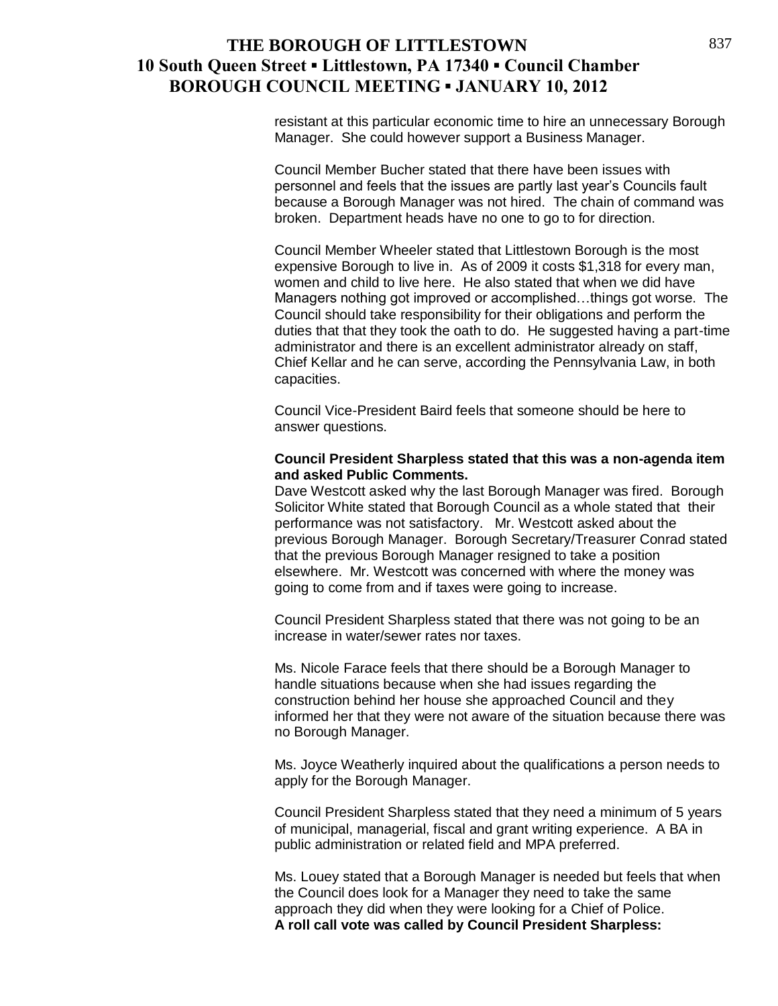resistant at this particular economic time to hire an unnecessary Borough Manager. She could however support a Business Manager.

Council Member Bucher stated that there have been issues with personnel and feels that the issues are partly last year's Councils fault because a Borough Manager was not hired. The chain of command was broken. Department heads have no one to go to for direction.

Council Member Wheeler stated that Littlestown Borough is the most expensive Borough to live in. As of 2009 it costs \$1,318 for every man, women and child to live here. He also stated that when we did have Managers nothing got improved or accomplished…things got worse. The Council should take responsibility for their obligations and perform the duties that that they took the oath to do. He suggested having a part-time administrator and there is an excellent administrator already on staff, Chief Kellar and he can serve, according the Pennsylvania Law, in both capacities.

Council Vice-President Baird feels that someone should be here to answer questions.

#### **Council President Sharpless stated that this was a non-agenda item and asked Public Comments.**

Dave Westcott asked why the last Borough Manager was fired. Borough Solicitor White stated that Borough Council as a whole stated that their performance was not satisfactory. Mr. Westcott asked about the previous Borough Manager. Borough Secretary/Treasurer Conrad stated that the previous Borough Manager resigned to take a position elsewhere. Mr. Westcott was concerned with where the money was going to come from and if taxes were going to increase.

Council President Sharpless stated that there was not going to be an increase in water/sewer rates nor taxes.

Ms. Nicole Farace feels that there should be a Borough Manager to handle situations because when she had issues regarding the construction behind her house she approached Council and they informed her that they were not aware of the situation because there was no Borough Manager.

Ms. Joyce Weatherly inquired about the qualifications a person needs to apply for the Borough Manager.

Council President Sharpless stated that they need a minimum of 5 years of municipal, managerial, fiscal and grant writing experience. A BA in public administration or related field and MPA preferred.

Ms. Louey stated that a Borough Manager is needed but feels that when the Council does look for a Manager they need to take the same approach they did when they were looking for a Chief of Police. **A roll call vote was called by Council President Sharpless:**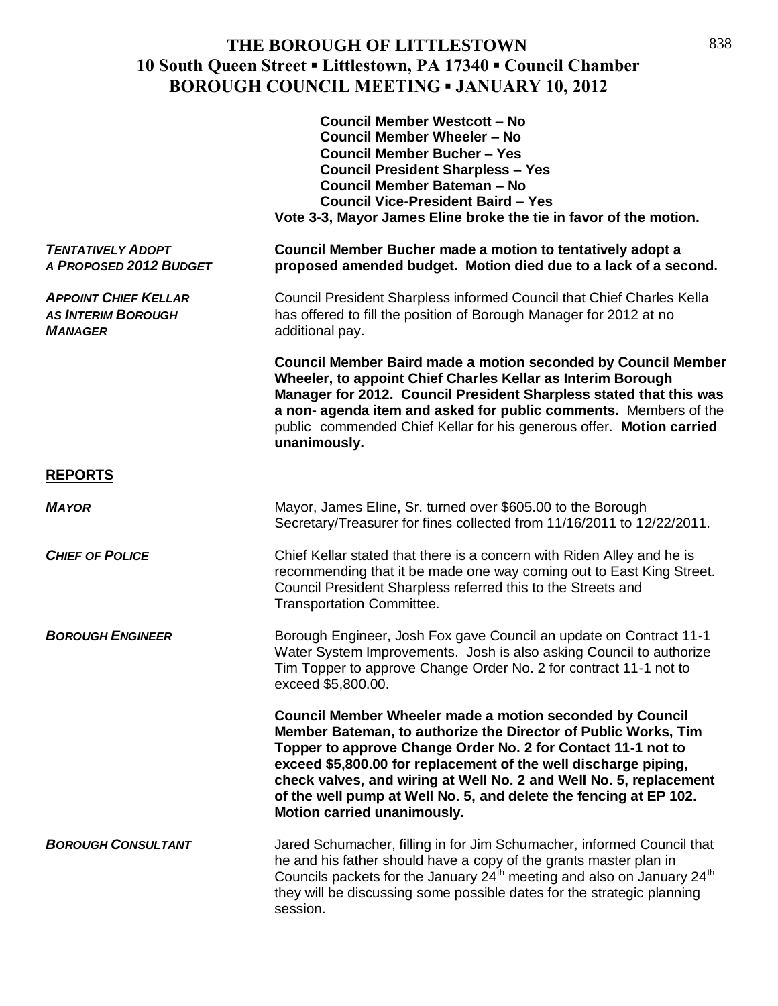|                                                                            | <b>Council Member Westcott - No</b><br><b>Council Member Wheeler - No</b><br><b>Council Member Bucher - Yes</b><br><b>Council President Sharpless - Yes</b><br><b>Council Member Bateman - No</b><br><b>Council Vice-President Baird - Yes</b><br>Vote 3-3, Mayor James Eline broke the tie in favor of the motion.                                                                                                                     |
|----------------------------------------------------------------------------|-----------------------------------------------------------------------------------------------------------------------------------------------------------------------------------------------------------------------------------------------------------------------------------------------------------------------------------------------------------------------------------------------------------------------------------------|
| <b>TENTATIVELY ADOPT</b><br>A PROPOSED 2012 BUDGET                         | Council Member Bucher made a motion to tentatively adopt a<br>proposed amended budget. Motion died due to a lack of a second.                                                                                                                                                                                                                                                                                                           |
| <b>APPOINT CHIEF KELLAR</b><br><b>AS INTERIM BOROUGH</b><br><b>MANAGER</b> | Council President Sharpless informed Council that Chief Charles Kella<br>has offered to fill the position of Borough Manager for 2012 at no<br>additional pay.                                                                                                                                                                                                                                                                          |
|                                                                            | <b>Council Member Baird made a motion seconded by Council Member</b><br>Wheeler, to appoint Chief Charles Kellar as Interim Borough<br>Manager for 2012. Council President Sharpless stated that this was<br>a non- agenda item and asked for public comments. Members of the<br>public commended Chief Kellar for his generous offer. Motion carried<br>unanimously.                                                                   |
| <b>REPORTS</b>                                                             |                                                                                                                                                                                                                                                                                                                                                                                                                                         |
| <b>MAYOR</b>                                                               | Mayor, James Eline, Sr. turned over \$605.00 to the Borough<br>Secretary/Treasurer for fines collected from 11/16/2011 to 12/22/2011.                                                                                                                                                                                                                                                                                                   |
| <b>CHIEF OF POLICE</b>                                                     | Chief Kellar stated that there is a concern with Riden Alley and he is<br>recommending that it be made one way coming out to East King Street.<br>Council President Sharpless referred this to the Streets and<br><b>Transportation Committee.</b>                                                                                                                                                                                      |
| <b>BOROUGH ENGINEER</b>                                                    | Borough Engineer, Josh Fox gave Council an update on Contract 11-1<br>Water System Improvements. Josh is also asking Council to authorize<br>Tim Topper to approve Change Order No. 2 for contract 11-1 not to<br>exceed \$5,800.00.                                                                                                                                                                                                    |
|                                                                            | Council Member Wheeler made a motion seconded by Council<br>Member Bateman, to authorize the Director of Public Works, Tim<br>Topper to approve Change Order No. 2 for Contact 11-1 not to<br>exceed \$5,800.00 for replacement of the well discharge piping,<br>check valves, and wiring at Well No. 2 and Well No. 5, replacement<br>of the well pump at Well No. 5, and delete the fencing at EP 102.<br>Motion carried unanimously. |
| <b>BOROUGH CONSULTANT</b>                                                  | Jared Schumacher, filling in for Jim Schumacher, informed Council that<br>he and his father should have a copy of the grants master plan in<br>Councils packets for the January 24 <sup>th</sup> meeting and also on January 24 <sup>th</sup><br>they will be discussing some possible dates for the strategic planning<br>session.                                                                                                     |